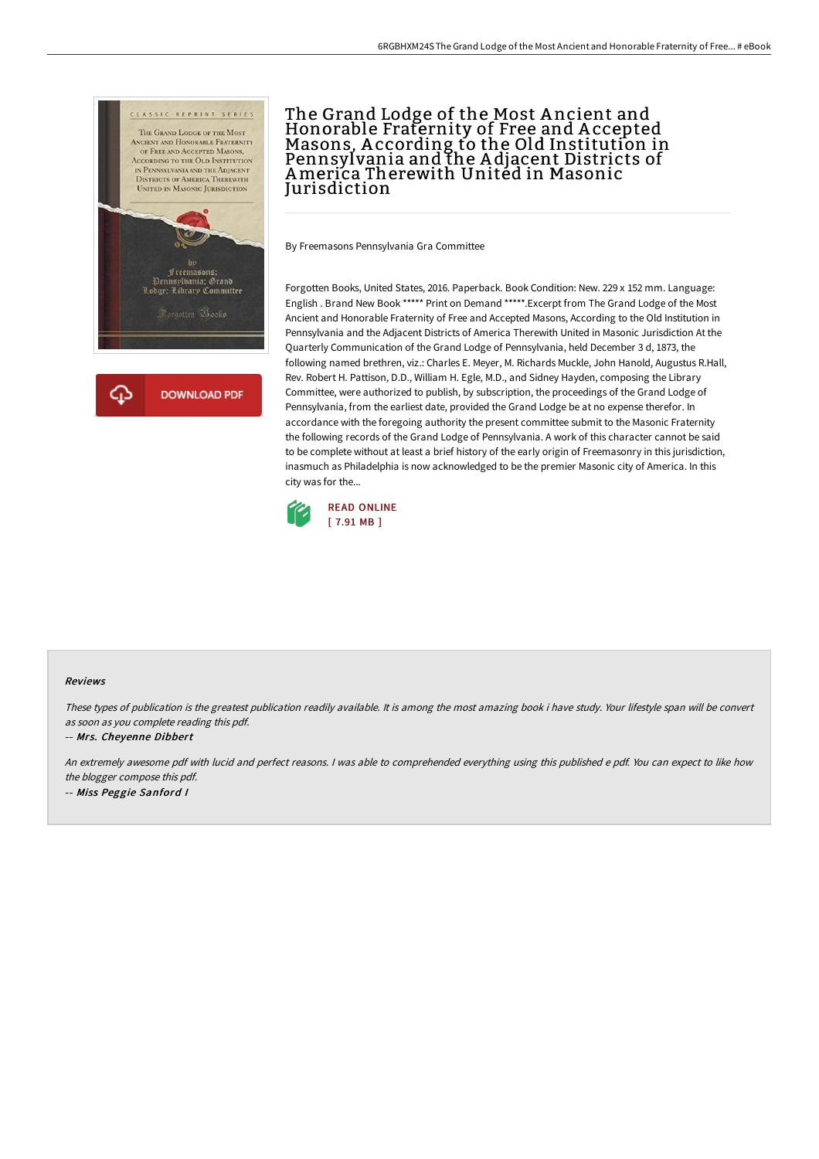



# The Grand Lodge of the Most A ncient and Honorable Fraternity of Free and A ccepted Masons, A ccording to the Old Institution in Pennsylvania and the A djacent Districts of America Therewith United in Masonic **Jurisdiction**

By Freemasons Pennsylvania Gra Committee

Forgotten Books, United States, 2016. Paperback. Book Condition: New. 229 x 152 mm. Language: English . Brand New Book \*\*\*\*\* Print on Demand \*\*\*\*\*.Excerpt from The Grand Lodge of the Most Ancient and Honorable Fraternity of Free and Accepted Masons, According to the Old Institution in Pennsylvania and the Adjacent Districts of America Therewith United in Masonic Jurisdiction At the Quarterly Communication of the Grand Lodge of Pennsylvania, held December 3 d, 1873, the following named brethren, viz.: Charles E. Meyer, M. Richards Muckle, John Hanold, Augustus R.Hall, Rev. Robert H. Pattison, D.D., William H. Egle, M.D., and Sidney Hayden, composing the Library Committee, were authorized to publish, by subscription, the proceedings of the Grand Lodge of Pennsylvania, from the earliest date, provided the Grand Lodge be at no expense therefor. In accordance with the foregoing authority the present committee submit to the Masonic Fraternity the following records of the Grand Lodge of Pennsylvania. A work of this character cannot be said to be complete without at least a brief history of the early origin of Freemasonry in this jurisdiction, inasmuch as Philadelphia is now acknowledged to be the premier Masonic city of America. In this city was for the...



### Reviews

These types of publication is the greatest publication readily available. It is among the most amazing book i have study. Your lifestyle span will be convert as soon as you complete reading this pdf.

#### -- Mrs. Cheyenne Dibbert

An extremely awesome pdf with lucid and perfect reasons. <sup>I</sup> was able to comprehended everything using this published <sup>e</sup> pdf. You can expect to like how the blogger compose this pdf. -- Miss Peggie Sanford <sup>I</sup>